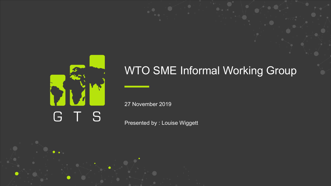

## WTO SME Informal Working Group

27 November 2019

Presented by : Louise Wiggett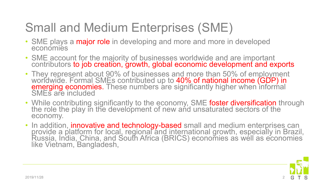# Small and Medium Enterprises (SME)

- SME plays a major role in developing and more and more in developed economies
- SME account for the majority of businesses worldwide and are important contributors to job creation, growth, global economic development and exports
- They represent about 90% of businesses and more than 50% of employment worldwide. Formal SMEs contributed up to <mark>40% of national income (GDP) in</mark><br><mark>emerging economies.</mark> These numbers are significantly higher when informal<br>SMEs are included
- While contributing significantly to the economy, SME foster diversification through the role the play in the development of new and unsaturated sectors of the economy.
- In addition, **innovative and technology-based** small and medium enterprises can provide a platform for local, regional and international growth, especially in Brazil, Russia, India, China, and South Africa (BRICS) economies as well as economies like Vietnam, Bangladesh,

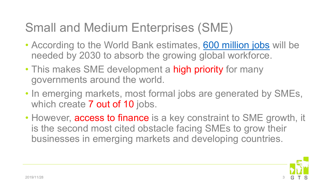## Small and Medium Enterprises (SME)

- According to the World Bank estimates, [600 million jobs](http://www.worldbank.org/en/topic/jobsanddevelopment/overview) will be needed by 2030 to absorb the growing global workforce.
- This makes SME development a high priority for many governments around the world.
- In emerging markets, most formal jobs are generated by SMEs, which create **7 out of 10** jobs.
- However, access to finance is a key constraint to SME growth, it is the second most cited obstacle facing SMEs to grow their businesses in emerging markets and developing countries.

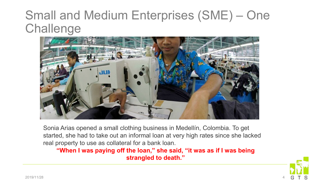## Small and Medium Enterprises (SME) – One **Challenge**



Sonia Arias opened a small clothing business in Medellín, Colombia. To get started, she had to take out an informal loan at very high rates since she lacked real property to use as collateral for a bank loan.

#### **"When I was paying off the loan," she said, "it was as if I was being strangled to death."**

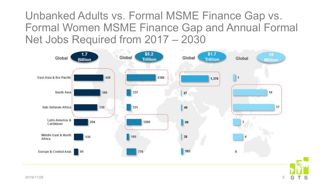Unbanked Adults vs. Formal MSME Finance Gap vs. Formal Women MSME Finance Gap and Annual Formal Net Jobs Required from 2017 – 2030



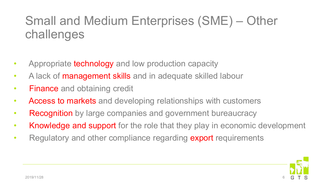## Small and Medium Enterprises (SME) – Other challenges

- Appropriate technology and low production capacity
- A lack of management skills and in adequate skilled labour
- Finance and obtaining credit
- Access to markets and developing relationships with customers
- Recognition by large companies and government bureaucracy
- Knowledge and support for the role that they play in economic development
- Regulatory and other compliance regarding export requirements

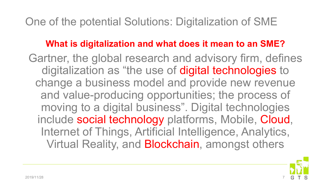## One of the potential Solutions: Digitalization of SME

#### **What is digitalization and what does it mean to an SME?**

Gartner, the global research and advisory firm, defines digitalization as "the use of digital technologies to change a business model and provide new revenue and value-producing opportunities; the process of moving to a digital business". Digital technologies include social technology platforms, Mobile, Cloud, Internet of Things, Artificial Intelligence, Analytics, Virtual Reality, and Blockchain, amongst others

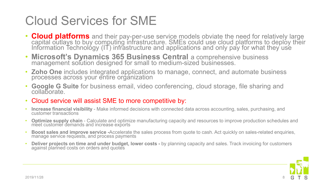## Cloud Services for SME

- **Cloud platforms** and their pay-per-use service models obviate the need for relatively large capital outlays to buy computing infrastructure. SMEs could use cloud platforms to deploy their Information Technológy (IT) infrastructure and applications and only pay for what they use
- **Microsoft's Dynamics 365 Business Central** a comprehensive business management solution designed for small to medium-sized businesses.
- **Zoho One** includes integrated applications to manage, connect, and automate business processes across your entire organization
- **Google G Suite** for business email, video conferencing, cloud storage, file sharing and collaborate.
- Cloud service will assist SME to more competitive by:
- **Increase financial visibility**  Make informed decisions with connected data across accounting, sales, purchasing, and customer transactions
- **Optimize supply chain**  Calculate and optimize manufacturing capacity and resources to improve production schedules and meet customer demands and increase exports
- **Boost sales and improve service -**Accelerate the sales process from quote to cash. Act quickly on sales-related enquiries, manage service requests, and process payments
- **Deliver projects on time and under budget, lower costs -** by planning capacity and sales. Track invoicing for customers<br>against planned costs on orders and quotes

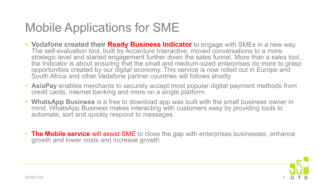## Mobile Applications for SME

- **Vodafone created their Ready Business Indicator** to engage with SMEs in a new way. The self-evaluation tool, built by Accenture Interactive, moved conversations to a more strategic level and started engagement further down the sales funnel. More than a sales tool, the Indicator is about ensuring that the small and medium-sized enterprises do more to grasp opportunities created by our digital economy. This service is now rolled out in Europe and South Africa and other Vadafone partner countries will follows shortly
- **AsiaPay** enables merchants to securely accept most popular digital payment methods from credit cards, internet banking and more on a single platform.
- **WhatsApp Business** is a free to download app was built with the small business owner in mind. WhatsApp Business makes interacting with customers easy by providing tools to automate, sort and quickly respond to messages.
- **The Mobile service** will assist SME to close the gap with enterprises businesses, enhance growth and lower costs and increase growth

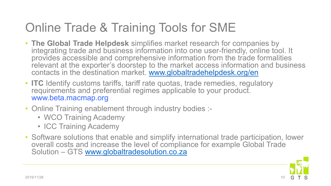## Online Trade & Training Tools for SME

- **The Global Trade Helpdesk** simplifies market research for companies by integrating trade and business information into one user-friendly, online tool. It provides accessible and comprehensive information from the trade formalities relevant at the exporter's doorstep to the market access information and business contacts in the destination market. [www.globaltradehelpdesk.org/en](http://www.globaltradehelpdesk.org/en)
- **ITC** Identify customs tariffs, tariff rate quotas, trade remedies, regulatory requirements and preferential regimes applicable to your product. www.beta.macmap.org
- Online Training enablement through industry bodies :-
	- WCO Training Academy
	- ICC Training Academy
- Software solutions that enable and simplify international trade participation, lower overall costs and increase the level of compliance for example Global Trade Solution – GTS [www.globaltradesolution.co.za](http://www.globaltradesolution.co.za)

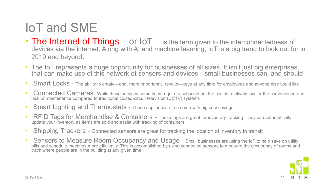## IoT and SME

- The Internet of Things or  $I \circ T$  is the term given to the interconnectedness of devices via the internet. Along with AI and machine learning, IoT is a big trend to look out for in 2019 and beyond.
- The IoT represents a huge opportunity for businesses of all sizes. It isn't just big enterprises that can make use of this network of sensors and devices—small businesses can, and should
- Smart Locks The ability to create—and, more importantly, revoke—keys at any time for employees and anyone else you'd like
- Connected Cameras. While these services sometimes require a subscription, the cost is relatively low for the convenience and lack of maintenance compared to traditional closed-circuit television (CCTV) systems
- Smart Lighting and Thermostats These appliances often come with big cost savings
- RFID Tags for Merchandise & Containers These tags are great for inventory tracking. They can automatically update your inventory as items are sold and assist with tracking of containers
- Shipping Trackers Connected sensors are great for tracking the location of inventory in transit
- Sensors to Measure Room Occupancy and Usage Small businesses are using the IoT to help save on utility bills and schedule meetings more efficiently. This is accomplished by using connected sensors to measure the occupancy of rooms and track where people are in the building at any given time

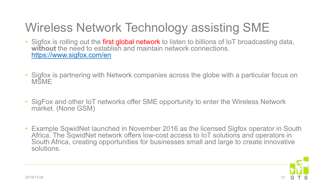# Wireless Network Technology assisting SME

- Sigfox is rolling out the first global network to listen to billions of IoT broadcasting data, without the need to establish and maintain network connections. <https://www.sigfox.com/en>
- Sigfox is partnering with Network companies across the globe with a particular focus on **MSME**
- SigFox and other IoT networks offer SME opportunity to enter the Wireless Network market. (None GSM)
- Example SqwidNet launched in November 2016 as the licensed Sigfox operator in South Africa. The SqwidNet network offers low-cost access to IoT solutions and operators in South Africa, creating opportunities for businesses small and large to create innovative solutions.

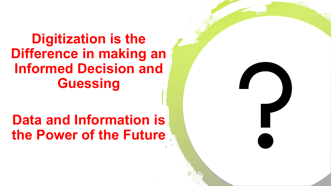## **Digitization is the Difference in making an Informed Decision and Guessing**

# **Data and Information is the Power of the Future**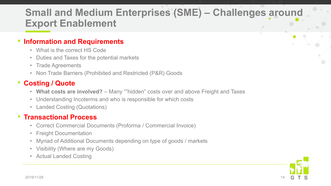### **Small and Medium Enterprises (SME) – Challenges around Export Enablement**

#### • **Information and Requirements**

- What is the correct HS Code
- Duties and Taxes for the potential markets
- Trade Agreements
- Non Trade Barriers (Prohibited and Restricted (P&R) Goods

#### • **Costing / Quote**

- **What costs are involved?** Many ""hidden" costs over and above Freight and Taxes
- Understanding Incoterms and who is responsible for which costs
- Landed Costing (Quotations)

#### • **Transactional Process**

- Correct Commercial Documents (Proforma / Commercial Invoice)
- Freight Documentation
- Myriad of Additional Documents depending on type of goods / markets
- Visibility (Where are my Goods)
- Actual Landed Costing

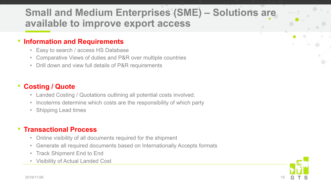### **Small and Medium Enterprises (SME) – Solutions are available to improve export access**

#### • **Information and Requirements**

- Easy to search / access HS Database
- Comparative Views of duties and P&R over multiple countries
- Drill down and view full details of P&R requirements

#### • **Costing / Quote**

- Landed Costing / Quotations outlining all potential costs involved.
- Incoterms determine which costs are the responsibility of which party
- Shipping Lead times

#### • **Transactional Process**

- Online visibility of all documents required for the shipment
- Generate all required documents based on Internationally Accepts formats
- Track Shipment End to End
- Visibility of Actual Landed Cost

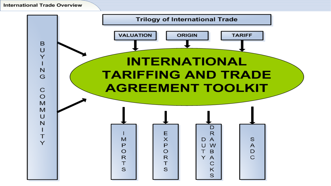**International Trade Overview** 

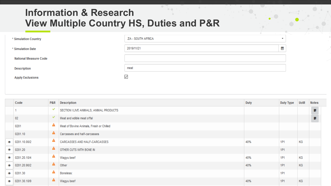#### **Information & Research View Multiple Country HS, Duties and P&R**

| * Simulation Country         | ZA - SOUTH AFRICA | ۰ |
|------------------------------|-------------------|---|
| * Simulation Date            | 2019/11/21        | ≝ |
| <b>National Measure Code</b> |                   |   |
| <b>Description</b>           | meat              |   |
| <b>Apply Exclusions</b>      | $\checkmark$      |   |

|                   | Code                   | P&R          | Description                              | Duty | Duty Type | <b>UoM</b> | <b>Notes</b>   |
|-------------------|------------------------|--------------|------------------------------------------|------|-----------|------------|----------------|
|                   |                        | ᢦ            | SECTION I LIVE ANIMALS; ANIMAL PRODUCTS  |      |           |            | $\Box$         |
|                   | 02                     | $\checkmark$ | Meat and edible meat offal               |      |           |            | $\blacksquare$ |
|                   | 0201                   | А            | Meat of Bovine Animals, Fresh or Chilled |      |           |            |                |
|                   | 0201.10                | A            | Carcasses and half-carcasses             |      |           |            |                |
|                   | $\bullet$ 0201.10.00/2 | А            | CARCASSES AND HALF-CARCASSES             | 40%  | 1P1       | КG         |                |
| Ø                 | 0201.20                | A            | OTHER CUTS WITH BONE IN                  |      | 1P1       |            |                |
| o.                | 0201.20.10/4           | А            | Wagyu beef                               | 40%  | 1P1       | KG         |                |
|                   | $\bullet$ 0201.20.90/2 | A            | Other                                    | 40%  | 1P1       | KG         |                |
| Ø                 | 0201.30                | A            | Boneless:                                |      | 1P1       |            |                |
| $\bm{\bm{\circ}}$ | 0201.30.10/9           | А            | Wagyu beef                               | 40%  | 1P1       | KG         |                |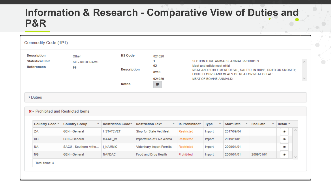### **Information & Research - Comparative View of Duties and P&R**

| <b>Description</b>                           | Other                                        | <b>HS Code</b>                | 021020                       |                                |                                                                                                                                                                                          |                   |                 |                    |  |
|----------------------------------------------|----------------------------------------------|-------------------------------|------------------------------|--------------------------------|------------------------------------------------------------------------------------------------------------------------------------------------------------------------------------------|-------------------|-----------------|--------------------|--|
| <b>Statistical Unit</b><br><b>References</b> | <b>KG - KILOGRAMS</b><br>99                  | <b>Description</b>            | 1<br>02<br>0210              |                                | SECTION I LIVE ANIMALS; ANIMAL PRODUCTS<br>Meat and edible meat offal<br>MEAT AND EDIBLE MEAT OFFAL, SALTED, IN BRINE, DRIED OR SMOKED;<br>EDIBLEFLOURS AND MEALS OF MEAT OR MEAT OFFAL: |                   |                 |                    |  |
|                                              |                                              | <b>Notes</b>                  | 021020<br>$\mathbf{L}$       | <b>MEAT OF BOVINE ANIMALS:</b> |                                                                                                                                                                                          |                   |                 |                    |  |
| > Duties                                     |                                              |                               |                              |                                |                                                                                                                                                                                          |                   |                 |                    |  |
|                                              | <sup>*</sup> Prohibited and Restricted Items |                               |                              |                                |                                                                                                                                                                                          |                   |                 |                    |  |
| Country Code Y                               | <b>Country Group</b>                         | Restriction Code <sup>v</sup> | <b>Restriction Text</b><br>v | Is Prohibited <sup>*</sup>     | <b>Type</b>                                                                                                                                                                              | <b>Start Date</b> | <b>End Date</b> | v<br>Detail $\vee$ |  |
| ZA                                           | <b>GEN</b> - General                         | <b>I STATEVET</b>             | Stop for State Vet Meat      | Restricted                     | Import                                                                                                                                                                                   | 2017/09/04        |                 | ۰                  |  |
| UG.                                          | <b>GEN</b> - General                         | MAAIF_IM                      | Importation of Live Anima    | Restricted                     | Import                                                                                                                                                                                   | 2019/11/01        |                 | ۰                  |  |
| <b>NA</b>                                    | SACU - Southern Afric                        | <b>I NAMMIC</b>               | Veterinary Import Permits    | Restricted                     | Import                                                                                                                                                                                   | 2000/01/01        |                 | ⊙                  |  |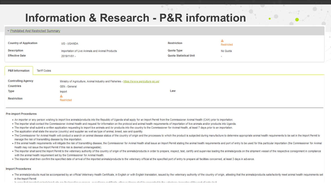### **Information & Research - P&R information**

▽ Prohibited And Restricted Summary

| <b>Country of Application</b> | UG - UGANDA                                     | <b>Restriction</b>     | Restricted |  |
|-------------------------------|-------------------------------------------------|------------------------|------------|--|
| <b>Description</b>            | Importation of Live Animals and Animal Products | Quota Type             | No Quota   |  |
| <b>Effective Date</b>         | 2019/11/01 -                                    | Quota Statistical Unit | $\sim$     |  |

| <b>P&amp;R Information</b>             | <b>Tariff Codes</b> |                                                                                                                 |     |
|----------------------------------------|---------------------|-----------------------------------------------------------------------------------------------------------------|-----|
| <b>Controlling Agency</b><br>Countries |                     | Ministry of Agriculture, Animal Industry and Fisheries - https://www.agriculture.go.ug/<br><b>GEN - General</b> |     |
| <b>Type</b>                            |                     | Import                                                                                                          | Law |
| <b>Restriction</b>                     |                     | Restricted                                                                                                      |     |

**Pre-import Procedures** 

- An importer or any person wishing to import live animals/products into the Republic of Uganda shall apply for an Import Permit from the Commissioner Animal Health (CAH) prior to importation.
- . The importer shall contact the Commissioner Animal Health and request for information on the protocol and animal health requirements of importation of live animals and/or products into Uganda.
- . The importer shall submit a written application requesting to import live animals and /or products into the country to the Commissioner for Animal Health, at least 7 days prior to an importation.
- The application shall state the source (country) and supplier as well as type of animal, breed, sex and quantity.
- . The Commissioner for Animal Health will conduct a search on animal disease status of the country of origin and the processes to which the product is subjected during manufacture to determine appropriate animal health req manage the risk of transmitting disease by this importation.
- . If the animal health requirements will mitigate the risk of transmitting disease, the Commissioner for Animal Health shall issue an Import Permit stating the animal health requirements and port of entry to be used for th Health may not issue the Import Permit if this risk is deemed unmanageable).
- . The importer shall send the Import Permit to the veterinary authority of the country of origin of the animals/products in order to prepare, inspect, test, certify and supervise loading the animals/goods on the shipment v with the animal health requirement set by the Commissioner for Animal Health.
- . The importer shall then confirm the specified date of arrival of the imported animals/products to the veterinary official at the specified port of entry to prepare all facilities concerned, at least 3 days in advance.

#### **Import Procedures**

. The animals/products must be accompanied by an official Veterinary Health Certificate, in English or with English translation, issued by the veterinary authority of the country of origin, attesting that the animals/produ ort Permit<br>ort Permit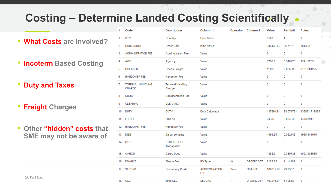## **Costing – Determine Landed Costing Scientifically**

- **What Costs are Involved?**
- **Incoterm Based Costing**
- **Duty and Taxes**
- **Freight Charges**
- **Other "hidden" costs that SME may not be aware of**

|                                  | #  | Code                                      | <b>Description</b>                 | Column 1                            |     | Operator Column 2 | Value     | <b>Per Unit</b> | <b>Actual</b> |
|----------------------------------|----|-------------------------------------------|------------------------------------|-------------------------------------|-----|-------------------|-----------|-----------------|---------------|
| <b>What Costs are Involved?</b>  | 1. | QTY                                       | Quantity                           | <b>Input Value</b>                  |     |                   | 5500      | 1               | 0             |
|                                  | 2  | ORDERCOST                                 | Order Cost                         | <b>Input Value</b>                  |     |                   | 306433.05 | 55.7151         | 301392        |
|                                  | 3. | <b>ADMINISTRATION FEE</b>                 | <b>Administration Fee</b>          | Value                               |     |                   | 0         | 0               | 0             |
| ncoterm Based Costing            |    | <b>AGF</b>                                | Agency                             | Value                               |     |                   | 1706.1    | 0.310226        | 1741.2255     |
|                                  | 5  | <b>OCEANFR</b>                            | Ocean Freight                      | Value                               |     |                   | 11198     | 2.035996        | 6131.601225   |
|                                  |    | <b>HANDOVER FEE</b>                       | Handover Fee                       | Value                               |     |                   | 0         | $\mathbf 0$     | $\mathbf 0$   |
| <b>Duty and Taxes</b>            |    | <b>TERMINAL HANDLING</b><br><b>CHARGE</b> | <b>Terminal Handling</b><br>Charge | Value                               |     |                   | 0         | 0               | 0             |
|                                  | 8  | <b>CDOCF</b>                              | Documentation Fee                  | Value                               |     |                   | 0         | $\mathbf 0$     | $\mathbf 0$   |
| <b>Freight Charges</b>           | 9  | <b>CLEARING</b>                           | <b>CLEARING</b>                    | Value                               |     |                   | 0         | $\mathbf 0$     | $\mathbf 0$   |
|                                  | 10 | <b>DUTY</b>                               | <b>DUTY</b>                        | <b>Duty Calculator</b>              |     |                   | 137894.9  | 25.071781       | 135521.719885 |
|                                  | 11 | <b>EDIFEE</b>                             | <b>EDI Fee</b>                     | Value                               |     |                   | 24.75     | 0.004545        | 14.623917     |
| Other <b>"hidden" costs</b> that | 12 | <b>HANDOVER FEE</b>                       | Handover Fee                       | Value                               |     |                   | 0         | 0               | 0             |
| SME may not be aware of          | 13 | <b>DISB</b>                               | <b>Disbursements</b>               | Value                               |     |                   | 1991.55   | 0.362146        | 1995.941916   |
|                                  | 14 | CTO                                       | CTO/DRO Fee<br>Transporter         | Value                               |     |                   | 0         | 0               | 0             |
|                                  | 15 | CARGD                                     | Cargo Dues                         | Value                               |     |                   | 1868.9    | 0.339786        | 1093.183535   |
|                                  | 16 | <b>FINANCE</b>                            | <b>Fiance Fee</b>                  | PO Type                             | %   | ORDERCOST         | 6128.65   | 1.114302        | $\mathbf 0$   |
|                                  | 17 | <b>SECOND</b>                             | Secondary Costs                    | <b>ADMINISTRATION</b><br><b>FEE</b> | Sum | <b>FINANCE</b>    | 160812.85 | 29.2387         | $\mathbf 0$   |
| 2019/11/28                       | 18 | <b>GLC</b>                                | <b>Total GLC</b>                   | <b>SECOND</b>                       | $+$ | ORDERCOST         | 467245.9  | 84.9538         | $\mathbf{0}$  |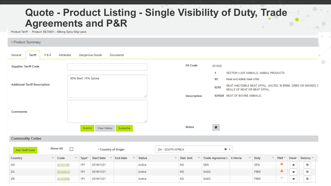### **Quote - Product Listing - Single Visibility of Duty, Trade Agreements and P&R**

Product Tariff Product: BILT0001 - Biltong Spicy 80gr pack

| > Product Summary                                                                                     |                           |                                                                                    |                     |                              |                        |                                                                                                  |                               |              |   |                |
|-------------------------------------------------------------------------------------------------------|---------------------------|------------------------------------------------------------------------------------|---------------------|------------------------------|------------------------|--------------------------------------------------------------------------------------------------|-------------------------------|--------------|---|----------------|
| <b>Tariff</b><br><b>P&amp;R</b><br>Attributes<br>Dangerous Goods<br>General<br>Documents<br>$\bullet$ |                           |                                                                                    |                     |                              |                        |                                                                                                  |                               |              |   |                |
| <b>Supplier Tariff Code</b>                                                                           |                           |                                                                                    |                     | <b>HS Code</b>               | 021020                 |                                                                                                  |                               |              |   |                |
|                                                                                                       |                           |                                                                                    |                     |                              | 1                      | SECTION I LIVE ANIMALS; ANIMAL PRODUCTS                                                          |                               |              |   |                |
| 90% Beef, 10% Spices                                                                                  |                           |                                                                                    |                     |                              | 02                     | Meat and edible meat offal                                                                       |                               |              |   |                |
| <b>Addtional Tariff Description</b>                                                                   |                           |                                                                                    |                     |                              | 0210                   | MEAT AND EDIBLE MEAT OFFAL, SALTED, IN BRINE, DRIED OR SMOKED; E<br>MEALS OF MEAT OR MEAT OFFAL: |                               |              |   |                |
|                                                                                                       |                           |                                                                                    | ai.                 | Description                  |                        | 021020 MEAT OF BOVINE ANIMALS:                                                                   |                               |              |   |                |
| <b>Comments</b>                                                                                       |                           | Submit<br>View History                                                             | al.<br>Subscribe    | <b>Notes</b>                 | <b>D</b>               |                                                                                                  |                               |              |   |                |
| <b>Commodity Codes</b>                                                                                |                           |                                                                                    |                     |                              |                        |                                                                                                  |                               |              |   |                |
| Add Tariff Code                                                                                       | <b>Show All</b><br>$\Box$ | * Country of Origin                                                                |                     | ZA - SOUTH AFRICA            |                        | $x -$                                                                                            |                               |              |   |                |
| Country                                                                                               | $\vee$ Code               | $~\checkmark$ Type $~\checkmark$<br>$\sim$<br><b>End Date</b><br><b>Start Date</b> | v.<br><b>Status</b> | ×.<br><b>Stat. Unit</b><br>× | Trade Agreeme Criteria | $\mathbf{v}$ .                                                                                   | $\mathbf{v}$ .<br><b>Duty</b> | P&R          |   | View History v |
| UG                                                                                                    | 02101100                  | <b>1P1</b><br>2019/11/21                                                           | Active              | KG                           | <b>GEN</b>             |                                                                                                  | 25%                           | A            | Ø | Đ              |
| ZA                                                                                                    | 02102012                  | 1P1<br>2019/11/21                                                                  | Active              | KG                           | SADC                   |                                                                                                  | <b>FREE</b>                   | A            | ۱ | G              |
| ZM                                                                                                    | 02102000                  | <b>1P1</b><br>2019/11/21                                                           | Active              | KG                           | SADC                   |                                                                                                  | <b>FREE</b>                   | $\checkmark$ | ۱ | Đ              |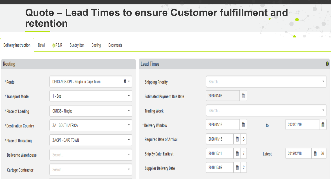### **Quote – Lead Times to ensure Customer fulfillment and retention**

| <b>Delivery Instruction</b><br>Detail | $O$ P&R<br>Sundry Item<br>Costing  | Documents                 |                                   |            |                 |        | $\blacksquare$<br>$\sim$ | . .                       |
|---------------------------------------|------------------------------------|---------------------------|-----------------------------------|------------|-----------------|--------|--------------------------|---------------------------|
| Routing                               |                                    |                           | <b>Lead Times</b>                 |            |                 |        |                          |                           |
| * Route                               | DEMO-NGB-CPT - Ningbo to Cape Town | $x -$                     | <b>Shipping Priority</b>          | Search     |                 |        |                          | $\boldsymbol{\mathrm{v}}$ |
| * Transport Mode                      | 1 - Sea                            | $\overline{\mathbf{v}}$   | <b>Estimated Payment Due Date</b> | 2020/01/08 | ≝               |        |                          |                           |
| * Place of Loading                    | CNNGB - Ningbo                     | $\overline{\mathbf{v}}$   | <b>Trading Week</b>               | Search     |                 |        |                          | $\boldsymbol{\mathrm{v}}$ |
| * Destination Country                 | ZA - SOUTH AFRICA                  | $\boldsymbol{\mathrm{v}}$ | * Delivery Window                 | 2020/01/16 | Ë               | to     | 2020/01/19               | ≝                         |
| * Place of Unloading                  | ZACPT - CAPE TOWN                  | $\overline{\phantom{a}}$  | <b>Required Date of Arrival</b>   | 2020/01/13 | ■ 3             |        |                          |                           |
| <b>Deliver to Warehouse</b>           | Search                             | ۰                         | Ship By Date: Earliest            | 2019/12/11 | 巤<br> 7         | Latest | 2019/12/18               | ≝<br>26                   |
| <b>Cartage Contractor</b>             | Search                             | ۰                         | <b>Supplier Delivery Date</b>     | 2019/12/09 | 巤<br>$\sqrt{2}$ |        |                          |                           |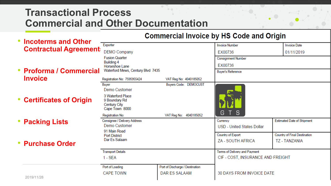### **Transactional Process Commercial and Other Documentation**

#### **Commercial Invoice by HS Code and Origin**

| <b>Incoterms and Other</b>   |                                                                      |                                 | oommercial mivolee by the oode and origin |                                   |
|------------------------------|----------------------------------------------------------------------|---------------------------------|-------------------------------------------|-----------------------------------|
|                              | Exporter                                                             |                                 | <b>Invoice Number</b>                     | <b>Invoice Date</b>               |
| <b>Contractual Agreement</b> | <b>DEMO Company</b>                                                  |                                 | EX00736                                   | 01/11/2019                        |
|                              | <b>Fusion Quarter</b>                                                |                                 | <b>Consignment Number</b>                 |                                   |
|                              | <b>Building 4</b><br>Horseshoe Lane                                  |                                 | EX00736                                   |                                   |
| • Proforma / Commercial      | Waterford Mews, Century Blvd 7435                                    |                                 | <b>Buyer's Reference</b>                  |                                   |
| <b>Invoice</b>               | Registration No: 7595955424                                          | VAT Reg No: 4040185052          |                                           |                                   |
|                              | Buyer                                                                | Buyers Code: DEMOCUST           |                                           |                                   |
|                              | Demo Customer                                                        |                                 |                                           |                                   |
| • Certificates of Origin     | 3 Waterford Place<br>9 Boundary Rd<br>Century City<br>Cape Town 8000 |                                 |                                           |                                   |
|                              | <b>Registration No:</b>                                              | VAT Reg No: 4040185052          | G T S                                     |                                   |
| <b>Packing Lists</b>         | Consignee / Delivery Address                                         |                                 | Currency                                  | <b>Estimated Date of Shipment</b> |
|                              | Demo Customer<br>91 Main Road                                        |                                 | USD - United States Dollar                |                                   |
|                              | <b>Port District</b>                                                 |                                 | Country of Export                         | Country of Final Destination      |
| <b>Purchase Order</b>        | Dar Es Salaam                                                        |                                 | ZA - SOUTH AFRICA                         | <b>TZ - TANZANIA</b>              |
|                              | <b>Transport Details</b>                                             |                                 | Terms of Delivery and Payment             |                                   |
|                              | $1 - SEA$                                                            |                                 | CIF - COST, INSURANCE AND FREIGHT         |                                   |
|                              | Port of Loading                                                      | Port of Discharge / Destination |                                           |                                   |
|                              | <b>CAPE TOWN</b>                                                     | DAR ES SALAAM                   | 30 DAYS FROM INVOICE DATE                 |                                   |
| 2019/11/28                   |                                                                      |                                 |                                           |                                   |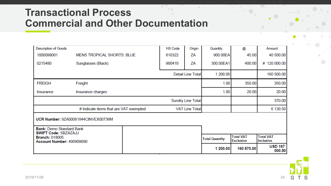### **Transactional Process Commercial and Other Documentation**

| <b>Description of Goods</b>                                    |                                        |  | <b>HS Code</b>           | Origin                   | Quantity              | @                                    | Amount                               |
|----------------------------------------------------------------|----------------------------------------|--|--------------------------|--------------------------|-----------------------|--------------------------------------|--------------------------------------|
| 1000098001                                                     | <b>MENS TROPICAL SHORTS: BLUE</b>      |  | 610322                   | ΖA                       | 900.00EA              | 45.00                                | 40 500.00                            |
| 0215480                                                        | Sunglasses (Black)                     |  | 900410                   | ΖA                       | 300.00EA1             | 400.00                               | # 120 000.00                         |
|                                                                |                                        |  |                          | <b>Detail Line Total</b> | 1 200.00              |                                      | 160 500.00                           |
| <b>FREIGH</b>                                                  | Freight                                |  |                          |                          | 1.00                  | 350.00                               | 350.00                               |
| Insurance                                                      | Insurance charges                      |  |                          | 1.00                     | 20.00                 | 20.00                                |                                      |
|                                                                |                                        |  | <b>Sundry Line Total</b> |                          |                       | 370.00                               |                                      |
|                                                                | # Indicate items that are VAT exempted |  |                          | <b>VAT Line Total</b>    |                       |                                      | 6 130.50                             |
| <b>Bank: Demo Standard Bank</b><br><b>SWIFT Code: SBZAZAJJ</b> | UCR Number: 9ZA00081844CINVEX00736M    |  |                          |                          |                       |                                      |                                      |
| <b>Branch: 018005</b><br>Account Number: 490909090             |                                        |  |                          |                          | <b>Total Quantity</b> | <b>Total VAT</b><br><b>Exclusive</b> | <b>Total VAT</b><br><b>Inclusive</b> |
|                                                                |                                        |  |                          |                          | 1 200.00              | 160 870.00                           | <b>USD 167</b><br>000.50             |

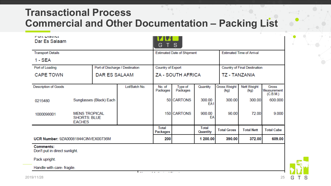### **Transactional Process Commercial and Other Documentation – Packing List**

| <b>FUIL DISTILL</b><br>Dar Es Salaam              |                                                                  |                         |                                 | G T S                    |                                   |                          |                             |                                  |                                  |  |
|---------------------------------------------------|------------------------------------------------------------------|-------------------------|---------------------------------|--------------------------|-----------------------------------|--------------------------|-----------------------------|----------------------------------|----------------------------------|--|
| <b>Transport Details</b>                          |                                                                  |                         |                                 |                          | <b>Estimated Date of Shipment</b> |                          |                             | <b>Estimated Time of Arrival</b> |                                  |  |
| 1 - SEA                                           |                                                                  |                         |                                 |                          |                                   |                          |                             |                                  |                                  |  |
| Port of Loading                                   |                                                                  |                         | Port of Discharge / Destination | Country of Export        |                                   |                          |                             | Country of Final Destination     |                                  |  |
| <b>CAPE TOWN</b>                                  |                                                                  | DAR ES SALAAM           |                                 |                          | ZA - SOUTH AFRICA                 |                          |                             | TZ - TANZANIA                    |                                  |  |
| <b>Description of Goods</b>                       |                                                                  |                         | Lot/Batch No.                   | No. of<br>Packages       | Type of<br>Packages               | Quantity                 | <b>Gross Weight</b><br>(kg) | <b>Nett Weight</b><br>(kg)       | Gross<br>Measurement<br>(C.B.M.) |  |
| 0215480                                           |                                                                  | Sunglasses (Black) Each |                                 |                          | 50 CARTONS                        | 300.00<br>EA1            | 300.00                      | 300.00                           | 600.000                          |  |
| 1000098001                                        | <b>MENS TROPICAL</b><br><b>SHORTS: BLUE</b><br><b>EACHES</b>     |                         |                                 |                          | 150 CARTONS                       | 900.00<br>EA             |                             | 90.00<br>72.00                   |                                  |  |
|                                                   |                                                                  |                         |                                 | <b>Total</b><br>Packages |                                   | <b>Total</b><br>Quantity | <b>Total Gross</b>          | <b>Total Nett</b>                | <b>Total Cube</b>                |  |
|                                                   | 200<br>1 200.00<br>390.00<br>UCR Number: 9ZA00081844CINVEX00736M |                         |                                 | 372.00                   | 609.00                            |                          |                             |                                  |                                  |  |
| <b>Comments:</b><br>Don't put in direct supliable |                                                                  |                         |                                 |                          |                                   |                          |                             |                                  |                                  |  |

Don't put in airect sunlight.

Pack upright.

Handle with care- fragile.